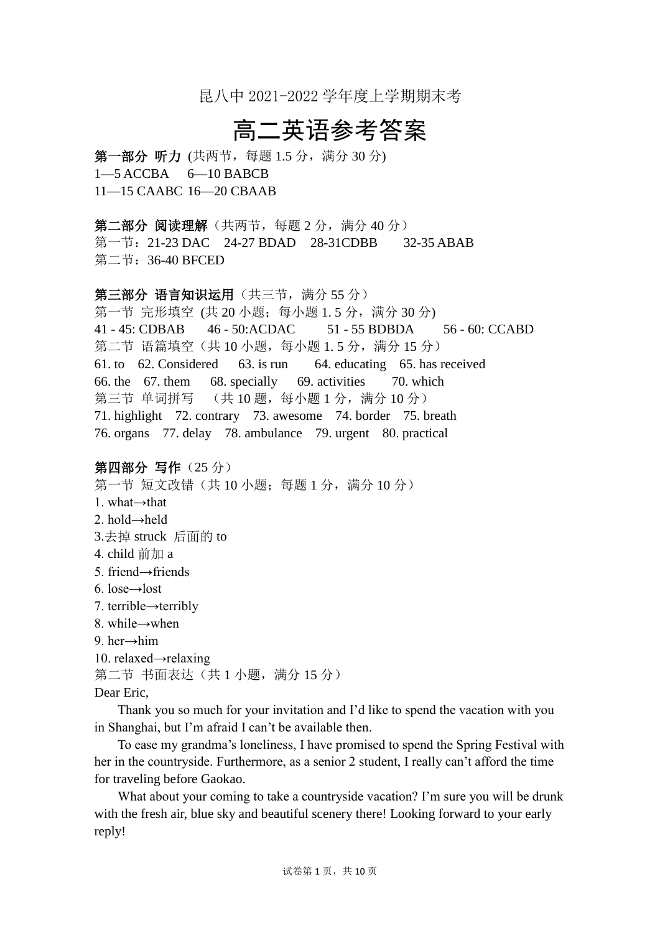昆八中 2021-2022 学年度上学期期末考

# 高二英语参考答案

第一部分 听力 (共两节, 每题 1.5 分, 满分 30 分) 1—5 ACCBA 6—10 BABCB 11—15 CAABC 16—20 CBAAB

第二部分 阅读理解(共两节,每题2分,满分40分) 第一节: 21-23 DAC 24-27 BDAD 28-31CDBB 32-35 ABAB 第二节:36-40 BFCED

第三部分 语言知识运用(共三节,满分 55分)

第一节 完形填空 (共 20 小题; 每小题 1.5 分, 满分 30 分) 41 - 45: CDBAB 46 - 50:ACDAC 51 - 55 BDBDA 56 - 60: CCABD 第二节 语篇填空(共10小题,每小题 1.5分,满分 15分) 61. to 62. Considered 63. is run 64. educating 65. has received 66. the 67. them 68. specially 69. activities 70. which 第三节 单词拼写 (共 10 题, 每小题 1 分, 满分 10 分) 71. highlight 72. contrary 73. awesome 74. border 75. breath 76. organs 77. delay 78. ambulance 79. urgent 80. practical

第四部分 写作 (25分) 第一节 短文改错(共10小题;每题1分,满分10分) 1. what→that 2.  $hold \rightarrow held$ 3.去掉 struck 后面的 to 4. child 前加 a 5. friend→friends 6. lose→lost 7. terrible→terribly 8. while→when 9. her→him 10. relaxed→relaxing 第二节 书面表达(共1小题,满分15分)

Dear Eric,

Thank you so much for your invitation and I'd like to spend the vacation with you in Shanghai, but I'm afraid I can't be available then.

To ease my grandma's loneliness, I have promised to spend the Spring Festival with her in the countryside. Furthermore, as a senior 2 student, I really can't afford the time for traveling before Gaokao.

What about your coming to take a countryside vacation? I'm sure you will be drunk with the fresh air, blue sky and beautiful scenery there! Looking forward to your early reply!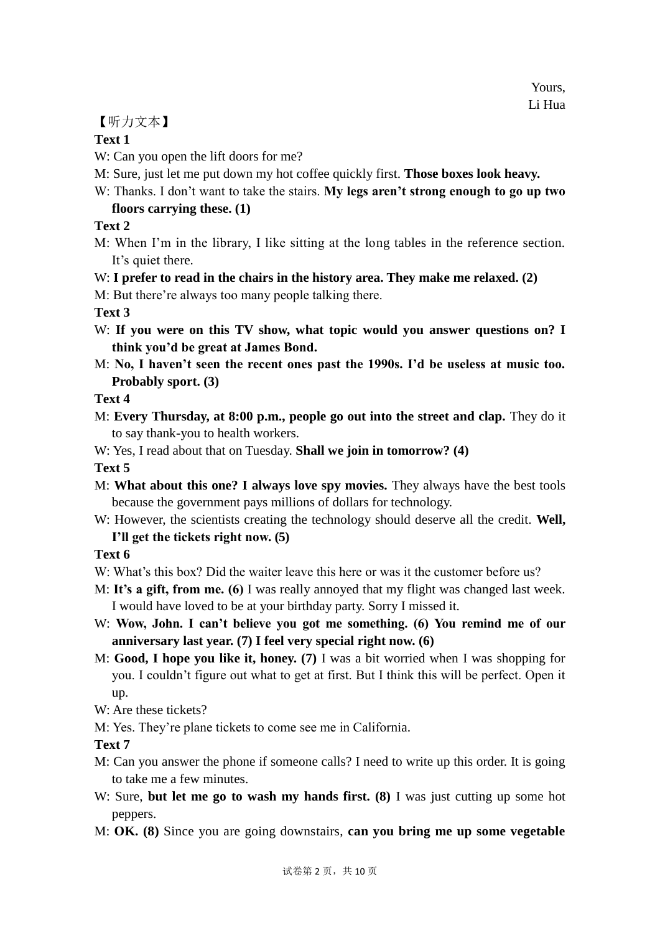# 【听力文本】

### **Text 1**

W: Can you open the lift doors for me?

- M: Sure, just let me put down my hot coffee quickly first. **Those boxes look heavy.**
- W: Thanks. I don't want to take the stairs. **My legs aren't strong enough to go up two**

# **floors carrying these. (1)**

# **Text 2**

M: When I'm in the library, I like sitting at the long tables in the reference section. It's quiet there.

# W: **I prefer to read in the chairs in the history area. They make me relaxed. (2)**

M: But there're always too many people talking there.

# **Text 3**

- W: **If you were on this TV show, what topic would you answer questions on? I think you'd be great at James Bond.**
- M: **No, I haven't seen the recent ones past the 1990s. I'd be useless at music too. Probably sport. (3)**

# **Text 4**

- M: **Every Thursday, at 8:00 p.m., people go out into the street and clap.** They do it to say thank-you to health workers.
- W: Yes, I read about that on Tuesday. **Shall we join in tomorrow? (4)**

**Text 5** 

- M: **What about this one? I always love spy movies.** They always have the best tools because the government pays millions of dollars for technology.
- W: However, the scientists creating the technology should deserve all the credit. **Well, I'll get the tickets right now. (5)**

**Text 6** 

- W: What's this box? Did the waiter leave this here or was it the customer before us?
- M: **It's a gift, from me. (6)** I was really annoyed that my flight was changed last week. I would have loved to be at your birthday party. Sorry I missed it.
- W: Wow, John. I can't believe you got me something. (6) You remind me of our **anniversary last year. (7) I feel very special right now. (6)**
- M: **Good, I hope you like it, honey. (7)** I was a bit worried when I was shopping for you. I couldn't figure out what to get at first. But I think this will be perfect. Open it up.
- W: Are these tickets?
- M: Yes. They're plane tickets to come see me in California.

# **Text 7**

- M: Can you answer the phone if someone calls? I need to write up this order. It is going to take me a few minutes.
- W: Sure, **but let me go to wash my hands first. (8)** I was just cutting up some hot peppers.
- M: **OK. (8)** Since you are going downstairs, **can you bring me up some vegetable**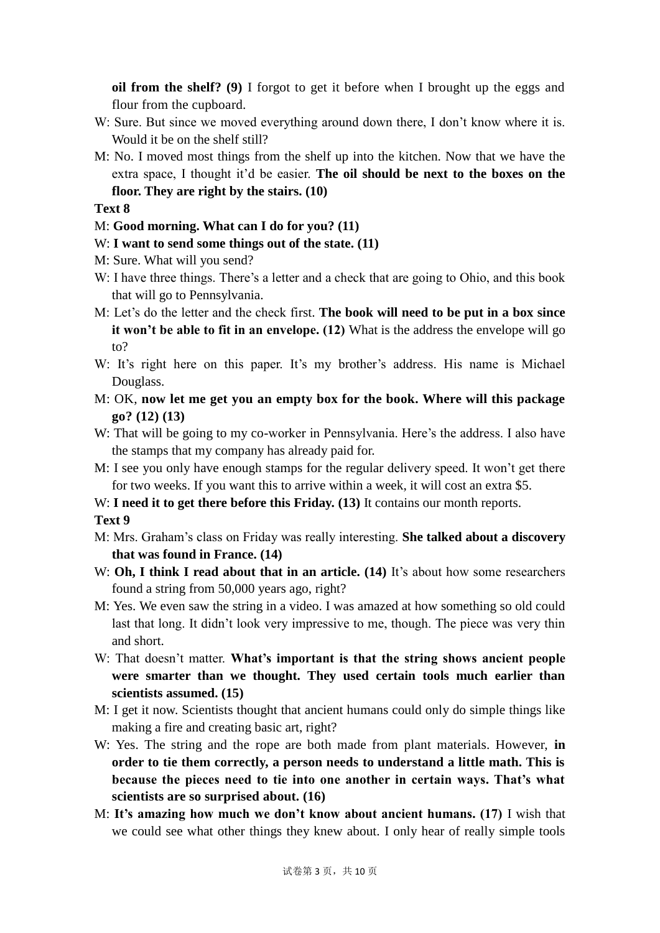**oil from the shelf? (9)** I forgot to get it before when I brought up the eggs and flour from the cupboard.

- W: Sure. But since we moved everything around down there, I don't know where it is. Would it be on the shelf still?
- M: No. I moved most things from the shelf up into the kitchen. Now that we have the extra space, I thought it'd be easier. **The oil should be next to the boxes on the floor. They are right by the stairs. (10)**

#### **Text 8**

- M: **Good morning. What can I do for you? (11)**
- W: **I want to send some things out of the state. (11)**
- M: Sure. What will you send?
- W: I have three things. There's a letter and a check that are going to Ohio, and this book that will go to Pennsylvania.
- M: Let's do the letter and the check first. **The book will need to be put in a box since it won't be able to fit in an envelope. (12)** What is the address the envelope will go to?
- W: It's right here on this paper. It's my brother's address. His name is Michael Douglass.
- M: OK, **now let me get you an empty box for the book. Where will this package go? (12) (13)**
- W: That will be going to my co-worker in Pennsylvania. Here's the address. I also have the stamps that my company has already paid for.
- M: I see you only have enough stamps for the regular delivery speed. It won't get there for two weeks. If you want this to arrive within a week, it will cost an extra \$5.
- W: **I need it to get there before this Friday.** (13) It contains our month reports.

#### **Text 9**

- M: Mrs. Graham's class on Friday was really interesting. **She talked about a discovery that was found in France. (14)**
- W: **Oh, I think I read about that in an article.** (14) It's about how some researchers found a string from 50,000 years ago, right?
- M: Yes. We even saw the string in a video. I was amazed at how something so old could last that long. It didn't look very impressive to me, though. The piece was very thin and short.
- W: That doesn't matter. **What's important is that the string shows ancient people were smarter than we thought. They used certain tools much earlier than scientists assumed. (15)**
- M: I get it now. Scientists thought that ancient humans could only do simple things like making a fire and creating basic art, right?
- W: Yes. The string and the rope are both made from plant materials. However, **in order to tie them correctly, a person needs to understand a little math. This is because the pieces need to tie into one another in certain ways. That's what scientists are so surprised about. (16)**
- M: **It's amazing how much we don't know about ancient humans. (17)** I wish that we could see what other things they knew about. I only hear of really simple tools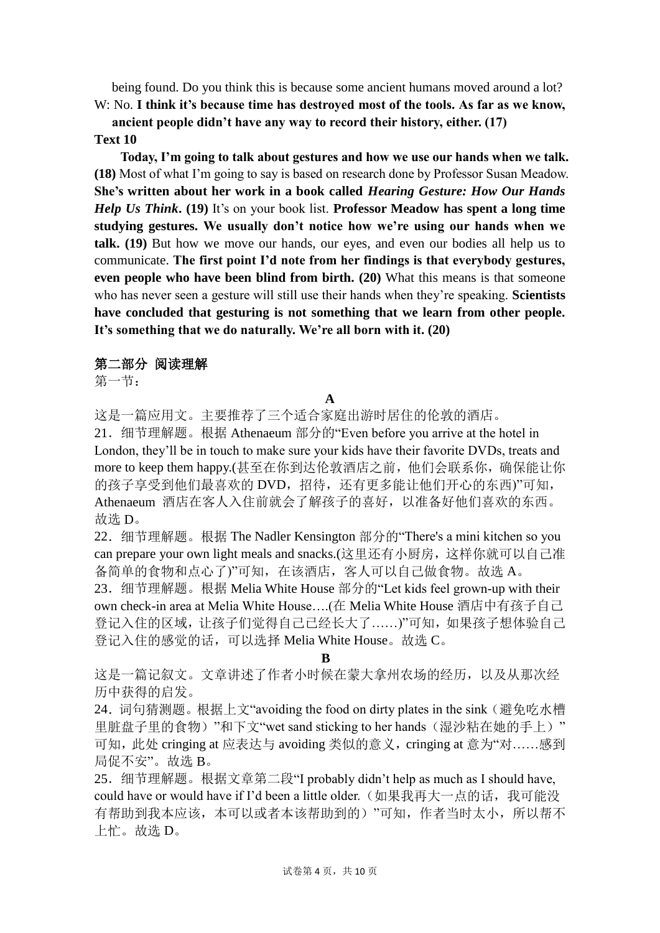being found. Do you think this is because some ancient humans moved around a lot?

W: No. **I think it's because time has destroyed most of the tools. As far as we know, ancient people didn't have any way to record their history, either. (17)**

### **Text 10**

**Today, I'm going to talk about gestures and how we use our hands when we talk. (18)** Most of what I'm going to say is based on research done by Professor Susan Meadow. **She's written about her work in a book called** *Hearing Gesture: How Our Hands Help Us Think***. (19)** It's on your book list. **Professor Meadow has spent a long time studying gestures. We usually don't notice how we're using our hands when we talk. (19)** But how we move our hands, our eyes, and even our bodies all help us to communicate. **The first point I'd note from her findings is that everybody gestures, even people who have been blind from birth. (20)** What this means is that someone who has never seen a gesture will still use their hands when they're speaking. **Scientists have concluded that gesturing is not something that we learn from other people. It's something that we do naturally. We're all born with it. (20)**

### 第二部分 阅读理解

第一节:

#### **A**

这是一篇应用文。主要推荐了三个适合家庭出游时居住的伦敦的酒店。

21.细节理解题。根据 Athenaeum 部分的"Even before you arrive at the hotel in London, they'll be in touch to make sure your kids have their favorite DVDs, treats and more to keep them happy.(甚至在你到达伦敦酒店之前,他们会联系你,确保能让你 的孩子享受到他们最喜欢的 DVD,招待,还有更多能让他们开心的东西)"可知, Athenaeum 酒店在客人入住前就会了解孩子的喜好,以准备好他们喜欢的东西。 故选 D。

22.细节理解题。根据 The Nadler Kensington 部分的"There's a mini kitchen so you can prepare your own light meals and snacks.(这里还有小厨房,这样你就可以自己准 备简单的食物和点心了)"可知,在该酒店,客人可以自己做食物。故选 A。

23.细节理解题。根据 Melia White House 部分的"Let kids feel grown-up with their own check-in area at Melia White House….(在 Melia White House 酒店中有孩子自己 登记入住的区域,让孩子们觉得自己已经长大了……)"可知,如果孩子想体验自己 登记入住的感觉的话,可以选择 Melia White House。故选 C。

**B**

这是一篇记叙文。文章讲述了作者小时候在蒙大拿州农场的经历,以及从那次经 历中获得的启发。

24. 词句猜测题。根据上文"avoiding the food on dirty plates in the sink (避免吃水槽 里脏盘子里的食物)"和下文"wet sand sticking to her hands(湿沙粘在她的手上)" 可知, 此处 cringing at 应表达与 avoiding 类似的意义, cringing at 意为"对……感到 局促不安"。故选 B。

25.细节理解题。根据文章第二段"I probably didn't help as much as I should have, could have or would have if I'd been a little older. (如果我再大一点的话,我可能没 有帮助到我本应该,本可以或者本该帮助到的)"可知,作者当时太小,所以帮不 上忙。故选 D。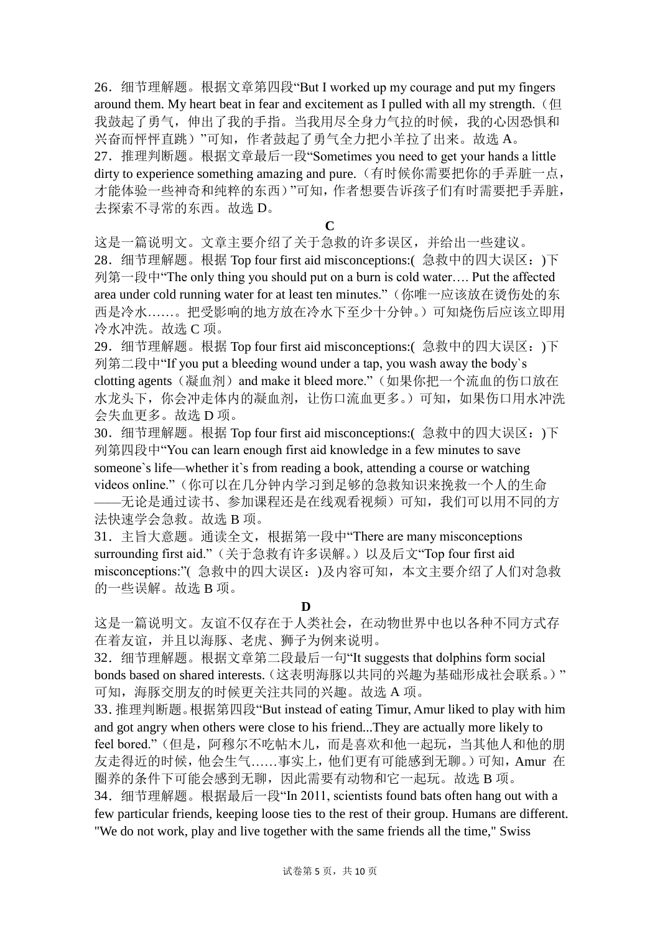26.细节理解题。根据文章第四段"But I worked up my courage and put my fingers around them. My heart beat in fear and excitement as I pulled with all my strength. (但 我鼓起了勇气,伸出了我的手指。当我用尽全身力气拉的时候,我的心因恐惧和 兴奋而怦怦直跳)"可知,作者鼓起了勇气全力把小羊拉了出来。故选 A。 27.推理判断题。根据文章最后一段"Sometimes you need to get your hands a little dirty to experience something amazing and pure.(有时候你需要把你的手弄脏一点, 才能体验一些神奇和纯粹的东西)"可知,作者想要告诉孩子们有时需要把手弄脏, 去探索不寻常的东西。故选 D。

**C**

这是一篇说明文。文章主要介绍了关于急救的许多误区,并给出一些建议。 28.细节理解题。根据 Top four first aid misconceptions:( 急救中的四大误区:)下 列第一段中"The only thing you should put on a burn is cold water…. Put the affected area under cold running water for at least ten minutes."(你唯一应该放在烫伤处的东 西是冷水……。把受影响的地方放在冷水下至少十分钟。)可知烧伤后应该立即用 冷水冲洗。故选 C 项。

29.细节理解题。根据 Top four first aid misconceptions:( 急救中的四大误区:)下 列第二段中"If you put a bleeding wound under a tap, you wash away the body`s clotting agents(凝血剂) and make it bleed more."(如果你把一个流血的伤口放在 水龙头下,你会冲走体内的凝血剂,让伤口流血更多。)可知,如果伤口用水冲洗 会失血更多。故选 D 项。

30.细节理解题。根据 Top four first aid misconceptions:( 急救中的四大误区:)下 列第四段中"You can learn enough first aid knowledge in a few minutes to save someone`s life—whether it`s from reading a book, attending a course or watching videos online."(你可以在几分钟内学习到足够的急救知识来挽救一个人的生命 ——无论是通过读书、参加课程还是在线观看视频)可知,我们可以用不同的方 法快速学会急救。故选 B 项。

31.主旨大意题。通读全文,根据第一段中"There are many misconceptions surrounding first aid."(关于急救有许多误解。)以及后文"Top four first aid misconceptions:"( 急救中的四大误区:)及内容可知,本文主要介绍了人们对急救 的一些误解。故选 B 项。

**D**

这是一篇说明文。友谊不仅存在于人类社会,在动物世界中也以各种不同方式存 在着友谊,并且以海豚、老虎、狮子为例来说明。

32.细节理解题。根据文章第二段最后一句"It suggests that dolphins form social bonds based on shared interests. (这表明海豚以共同的兴趣为基础形成社会联系。)" 可知,海豚交朋友的时候更关注共同的兴趣。故选 A 项。

33.推理判断题。根据第四段"But instead of eating Timur, Amur liked to play with him and got angry when others were close to his friend...They are actually more likely to feel bored."(但是,阿穆尔不吃帖木儿,而是喜欢和他一起玩,当其他人和他的朋 友走得近的时候,他会生气……事实上,他们更有可能感到无聊。)可知,Amur 在 圈养的条件下可能会感到无聊,因此需要有动物和它一起玩。故选 B 项。

34.细节理解题。根据最后一段"In 2011, scientists found bats often hang out with a few particular friends, keeping loose ties to the rest of their group. Humans are different. "We do not work, play and live together with the same friends all the time," Swiss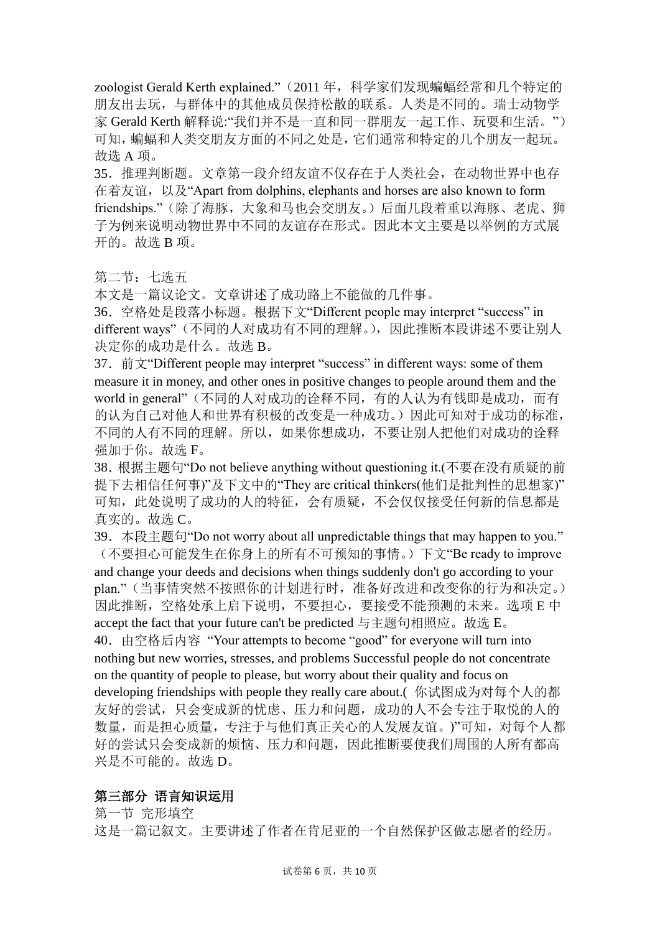zoologist Gerald Kerth explained." (2011 年, 科学家们发现蝙蝠经常和几个特定的 朋友出去玩,与群体中的其他成员保持松散的联系。人类是不同的。瑞士动物学 家 Gerald Kerth 解释说:"我们并不是一直和同一群朋友一起工作、玩耍和生活。") 可知,蝙蝠和人类交朋友方面的不同之处是,它们通常和特定的几个朋友一起玩。 故选 A 项。

35.推理判断题。文章第一段介绍友谊不仅存在于人类社会,在动物世界中也存 在着友谊, 以及"Apart from dolphins, elephants and horses are also known to form friendships."(除了海豚,大象和马也会交朋友。)后面几段着重以海豚、老虎、狮 子为例来说明动物世界中不同的友谊存在形式。因此本文主要是以举例的方式展 开的。故选 B 项。

第二节: 七选五

本文是一篇议论文。文章讲述了成功路上不能做的几件事。

36.空格处是段落小标题。根据下文"Different people may interpret "success" in different ways"(不同的人对成功有不同的理解。),因此推断本段讲述不要让别人 决定你的成功是什么。故选 B。

37.前文"Different people may interpret "success" in different ways: some of them measure it in money, and other ones in positive changes to people around them and the world in general"(不同的人对成功的诠释不同,有的人认为有钱即是成功,而有 的认为自己对他人和世界有积极的改变是一种成功。)因此可知对于成功的标准, 不同的人有不同的理解。所以,如果你想成功,不要让别人把他们对成功的诠释 强加于你。故选 F。

38.根据主题句"Do not believe anything without questioning it.(不要在没有质疑的前 提下去相信任何事)"及下文中的"They are critical thinkers(他们是批判性的思想家)" 可知,此处说明了成功的人的特征,会有质疑,不会仅仅接受任何新的信息都是 真实的。故选 C。

39.本段主题句"Do not worry about all unpredictable things that may happen to you." (不要担心可能发生在你身上的所有不可预知的事情。)下文"Be ready to improve and change your deeds and decisions when things suddenly don't go according to your plan."(当事情突然不按照你的计划进行时,准备好改进和改变你的行为和决定。) 因此推断,空格处承上启下说明,不要担心,要接受不能预测的未来。选项 E 中 accept the fact that your future can't be predicted 与主题句相照应。故选 E。 40.由空格后内容 "Your attempts to become "good" for everyone will turn into nothing but new worries, stresses, and problems Successful people do not concentrate on the quantity of people to please, but worry about their quality and focus on developing friendships with people they really care about.( 你试图成为对每个人的都 友好的尝试,只会变成新的忧虑、压力和问题,成功的人不会专注于取悦的人的 数量,而是担心质量,专注于与他们真正关心的人发展友谊。)"可知,对每个人都 好的尝试只会变成新的烦恼、压力和问题,因此推断要使我们周围的人所有都高 兴是不可能的。故选 D。

### 第三部分 语言知识运用

第一节 完形填空

这是一篇记叙文。主要讲述了作者在肯尼亚的一个自然保护区做志愿者的经历。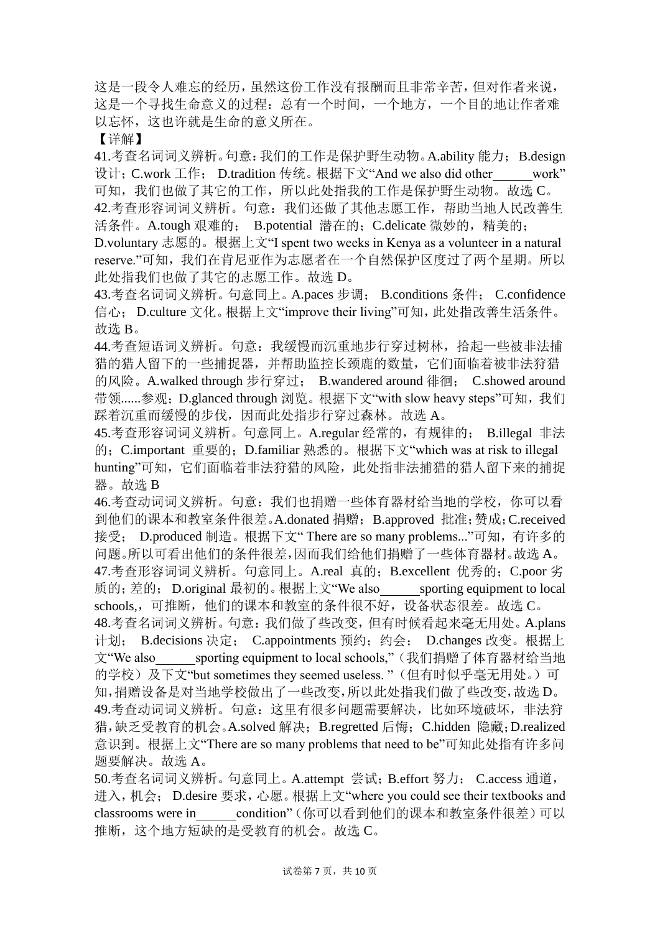这是一段令人难忘的经历,虽然这份工作没有报酬而且非常辛苦,但对作者来说, 这是一个寻找生命意义的过程:总有一个时间,一个地方,一个目的地让作者难 以忘怀,这也许就是生命的意义所在。

【详解】

41.考查名词词义辨析。句意: 我们的工作是保护野生动物。A.ability 能力; B.design 设计;C.work 工作; D.tradition 传统。根据下文"And we also did other work" 可知,我们也做了其它的工作,所以此处指我的工作是保护野生动物。故选 C。 42.考查形容词词义辨析。句意:我们还做了其他志愿工作,帮助当地人民改善生 活条件。A.tough 艰难的; B.potential 潜在的;C.delicate 微妙的,精美的; D.voluntary 志愿的。根据上文"I spent two weeks in Kenya as a volunteer in a natural reserve."可知, 我们在肯尼亚作为志愿者在一个自然保护区度过了两个星期。所以 此处指我们也做了其它的志愿工作。故选 D。

43.考查名词词义辨析。句意同上。A.paces 步调; B.conditions 条件; C.confidence 信心; D.culture 文化。根据上文"improve their living"可知,此处指改善生活条件。 故选 B。

44.考查短语词义辨析。句意: 我缓慢而沉重地步行穿过树林, 拾起一些被非法捕 猎的猎人留下的一些捕捉器,并帮助监控长颈鹿的数量,它们面临着被非法狩猎 的风险。A.walked through 步行穿过; B.wandered around 徘徊; C.showed around 带领 ...... 参观; D.glanced through 浏览。根据下文"with slow heavy steps"可知, 我们 踩着沉重而缓慢的步伐,因而此处指步行穿过森林。故选 A。

45.考查形容词词义辨析。句意同上。A.regular 经常的,有规律的; B.illegal 非法 的;C.important 重要的;D.familiar 熟悉的。根据下文"which was at risk to illegal hunting"可知, 它们面临着非法狩猎的风险, 此处指非法捕猎的猎人留下来的捕捉 器。故选 B

46.考查动词词义辨析。句意:我们也捐赠一些体育器材给当地的学校,你可以看 到他们的课本和教室条件很差。A.donated 捐赠;B.approved 批准;赞成;C.received 接受; D.produced 制造。根据下文" There are so many problems..."可知,有许多的 问题。所以可看出他们的条件很差,因而我们给他们捐赠了一些体育器材。故选 A。 47.考查形容词词义辨析。句意同上。A.real 真的;B.excellent 优秀的;C.poor 劣 质的;差的; D.original 最初的。根据上文"We also sporting equipment to local schools,,可推断,他们的课本和教室的条件很不好,设备状态很差。故选 C。 48.考查名词词义辨析。句意:我们做了些改变,但有时候看起来毫无用处。A.plans 计划; B.decisions 决定; C.appointments 预约;约会; D.changes 改变。根据上 文"We also sporting equipment to local schools,"(我们捐赠了体育器材给当地 的学校)及下文"but sometimes they seemed useless."(但有时似乎毫无用处。)可 知,捐赠设备是对当地学校做出了一些改变,所以此处指我们做了些改变,故选 D。 49.考查动词词义辨析。句意:这里有很多问题需要解决,比如环境破坏,非法狩 猎,缺乏受教育的机会。A.solved 解决; B.regretted 后悔; C.hidden 隐藏;D.realized 意识到。根据上文"There are so many problems that need to be"可知此处指有许多问 题要解决。故选 A。

50.考查名词词义辨析。句意同上。A.attempt 尝试;B.effort 努力; C.access 通道, 进入,机会; D.desire 要求,心愿。根据上文"where you could see their textbooks and classrooms were in condition"(你可以看到他们的课本和教室条件很差)可以 推断,这个地方短缺的是受教育的机会。故选 C。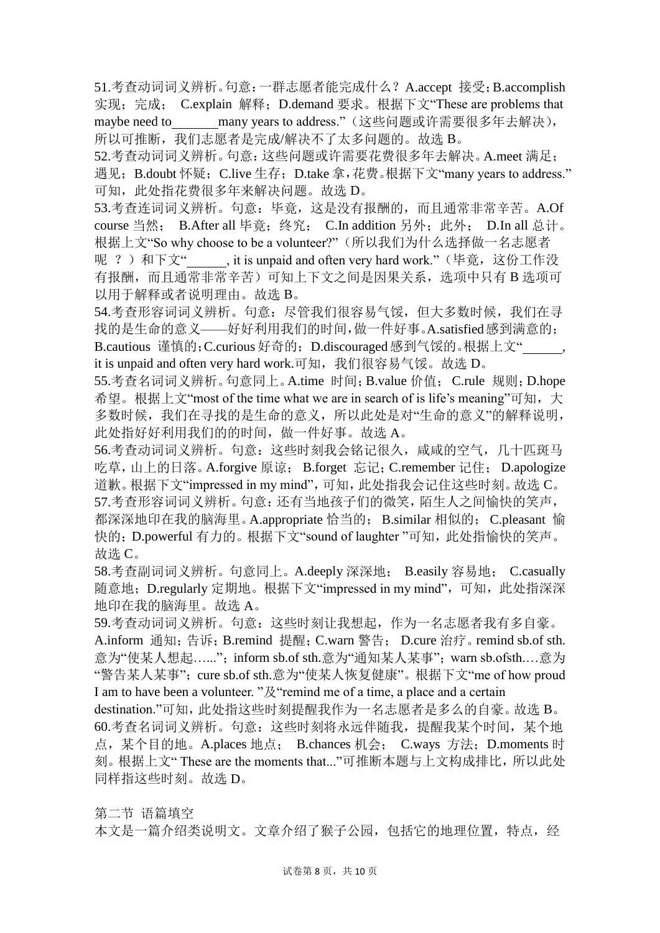51.考查动词词义辨析。句意:一群志愿者能完成什么?A.accept 接受;B.accomplish 实现;完成; C.explain 解释;D.demand 要求。根据下文"These are problems that maybe need to many years to address."(这些问题或许需要很多年去解决), 所以可推断, 我们志愿者是完成/解决不了太多问题的。故选 B。

52.考查动词词义辨析。句意:这些问题或许需要花费很多年去解决。A.meet 满足; 遇见; B.doubt 怀疑; C.live 生存; D.take 拿, 花费。根据下文"many years to address." 可知,此处指花费很多年来解决问题。故选 D。

53.考查连词词义辨析。句意:毕竟,这是没有报酬的,而且通常非常辛苦。A.Of course 当然; B.After all 毕竟;终究; C.In addition 另外;此外; D.In all 总计。 根据上文"So why choose to be a volunteer?"(所以我们为什么选择做一名志愿者 呢 ?) 和下文",it is unpaid and often very hard work."(毕竟,这份工作没 有报酬,而且通常非常辛苦)可知上下文之间是因果关系,选项中只有 B 选项可 以用于解释或者说明理由。故选 B。

54.考查形容词词义辨析。句意:尽管我们很容易气馁,但大多数时候,我们在寻 找的是生命的意义——好好利用我们的时间,做一件好事。A.satisfied感到满意的; B.cautious 谨慎的; C.curious 好奇的; D.discouraged 感到气馁的。根据上文"

it is unpaid and often very hard work.可知, 我们很容易气馁。故选 D。 55.考查名词词义辨析。句意同上。A.time 时间;B.value 价值;C.rule 规则;D.hope 希望。根据上文"most of the time what we are in search of is life's meaning"可知,大 多数时候,我们在寻找的是生命的意义,所以此处是对"生命的意义"的解释说明, 此处指好好利用我们的的时间,做一件好事。故选 A。

56.考查动词词义辨析。句意:这些时刻我会铭记很久,咸咸的空气,几十匹斑马 吃草,山上的日落。A.forgive 原谅; B.forget 忘记;C.remember 记住; D.apologize 道歉。根据下文"impressed in my mind",可知,此处指我会记住这些时刻。故选 C。 57.考查形容词词义辨析。句意:还有当地孩子们的微笑,陌生人之间愉快的笑声, 都深深地印在我的脑海里。A.appropriate 恰当的; B.similar 相似的; C.pleasant 愉 快的; D.powerful 有力的。根据下文"sound of laughter "可知, 此处指愉快的笑声。 故选 C。

58.考查副词词义辨析。句意同上。A.deeply 深深地; B.easily 容易地; C.casually 随意地;D.regularly 定期地。根据下文"impressed in my mind",可知,此处指深深 地印在我的脑海里。故选 A。

59.考查动词词义辨析。句意:这些时刻让我想起,作为一名志愿者我有多自豪。 A.inform 通知;告诉;B.remind 提醒;C.warn 警告; D.cure 治疗。remind sb.of sth. 意为"使某人想起……"; inform sb.of sth.意为"通知某人某事"; warn sb.ofsth.…意为 "警告某人某事"; cure sb.of sth.意为"使某人恢复健康"。根据下文"me of how proud

I am to have been a volunteer. " $\mathcal{R}$ "remind me of a time, a place and a certain

destination."可知,此处指这些时刻提醒我作为一名志愿者是多么的自豪。故选 B。 60.考查名词词义辨析。句意:这些时刻将永远伴随我,提醒我某个时间,某个地 点,某个目的地。A.places 地点; B.chances 机会; C.ways 方法;D.moments 时 刻。根据上文" These are the moments that..."可推断本题与上文构成排比,所以此处 同样指这些时刻。故选 D。

第二节 语篇填空

本文是一篇介绍类说明文。文章介绍了猴子公园,包括它的地理位置,特点,经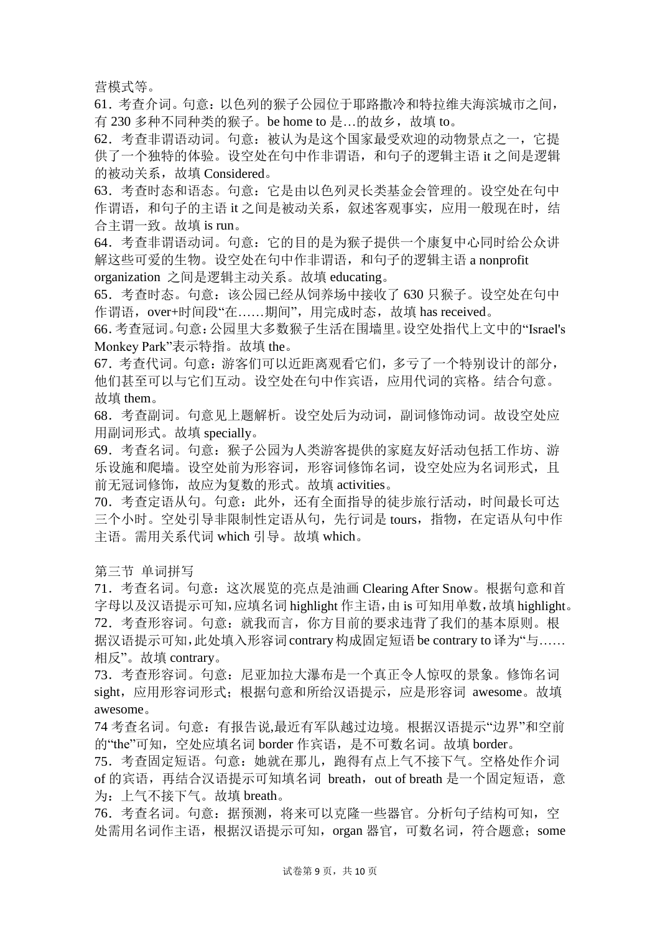营模式等。

61.考查介词。句意:以色列的猴子公园位于耶路撒冷和特拉维夫海滨城市之间, 有 230 多种不同种类的猴子。be home to 是...的故乡, 故填 to。

62.考查非谓语动词。句意:被认为是这个国家最受欢迎的动物景点之一,它提 供了一个独特的体验。设空处在句中作非谓语, 和句子的逻辑主语 it 之间是逻辑 的被动关系,故填 Considered。

63.考查时态和语态。句意:它是由以色列灵长类基金会管理的。设空处在句中 作谓语,和句子的主语 it 之间是被动关系,叙述客观事实,应用一般现在时,结 合主谓一致。故填 is run。

64.考查非谓语动词。句意:它的目的是为猴子提供一个康复中心同时给公众讲 解这些可爱的生物。设空处在句中作非谓语,和句子的逻辑主语 a nonprofit organization 之间是逻辑主动关系。故填 educating。

65.考查时态。句意:该公园已经从饲养场中接收了 630 只猴子。设空处在句中 作谓语, over+时间段"在……期间", 用完成时态, 故填 has received。

66.考查冠词。句意:公园里大多数猴子生活在围墙里。设空处指代上文中的"Israel's Monkey Park"表示特指。故填 the。

67.考查代词。句意:游客们可以近距离观看它们,多亏了一个特别设计的部分, 他们甚至可以与它们互动。设空处在句中作宾语,应用代词的宾格。结合句意。 故填 them。

68.考查副词。句意见上题解析。设空处后为动词,副词修饰动词。故设空处应 用副词形式。故填 specially。

69.考查名词。句意:猴子公园为人类游客提供的家庭友好活动包括工作坊、游 乐设施和爬墙。设空处前为形容词,形容词修饰名词,设空处应为名词形式,且 前无冠词修饰,故应为复数的形式。故填 activities。

70.考查定语从句。句意:此外,还有全面指导的徒步旅行活动,时间最长可达 三个小时。空处引导非限制性定语从句,先行词是 tours,指物,在定语从句中作 主语。需用关系代词 which 引导。故填 which。

第三节 单词拼写

71.考查名词。句意:这次展览的亮点是油画 Clearing After Snow。根据句意和首 字母以及汉语提示可知,应填名词 highlight 作主语,由 is 可知用单数,故填 highlight。 72. 考查形容词。句意: 就我而言, 你方目前的要求违背了我们的基本原则。根 据汉语提示可知,此处填入形容词 contrary 构成固定短语 be contrary to 译为"与…… 相反"。故填 contrary。

73.考查形容词。句意:尼亚加拉大瀑布是一个真正令人惊叹的景象。修饰名词 sight,应用形容词形式;根据句意和所给汉语提示,应是形容词 awesome。故填 awesome。

74 考查名词。句意:有报告说,最近有军队越过边境。根据汉语提示"边界"和空前 的"the"可知, 空处应填名词 border 作宾语, 是不可数名词。故填 border。

75.考查固定短语。句意:她就在那儿,跑得有点上气不接下气。空格处作介词 of 的宾语,再结合汉语提示可知填名词 breath, out of breath 是一个固定短语, 意 为:上气不接下气。故填 breath。

76. 考查名词。句意: 据预测, 将来可以克隆一些器官。分析句子结构可知, 空 处需用名词作主语,根据汉语提示可知, organ 器官, 可数名词, 符合题意; some